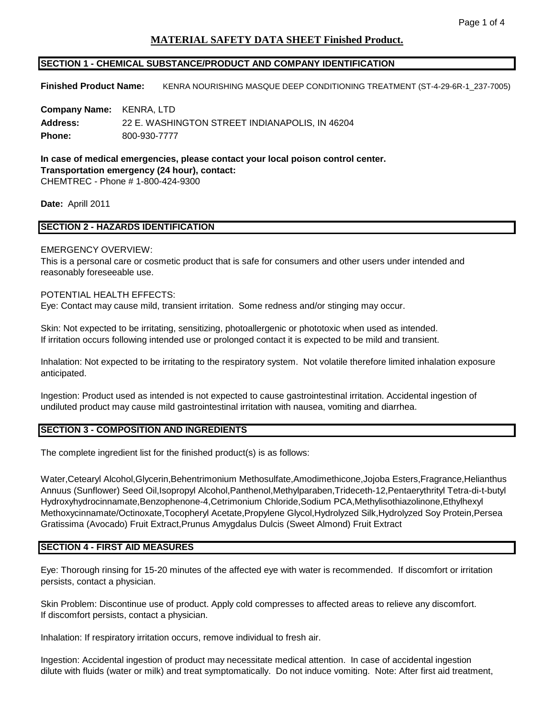# **MATERIAL SAFETY DATA SHEET Finished Product.**

## **SECTION 1 - CHEMICAL SUBSTANCE/PRODUCT AND COMPANY IDENTIFICATION**

**Finished Product Name:** KENRA NOURISHING MASQUE DEEP CONDITIONING TREATMENT (ST-4-29-6R-1\_237-7005)

**Company Name:** KENRA, LTD **Address:** 22 E. WASHINGTON STREET INDIANAPOLIS, IN 46204 **Phone:** 800-930-7777

**In case of medical emergencies, please contact your local poison control center. Transportation emergency (24 hour), contact:**  CHEMTREC - Phone # 1-800-424-9300

**Date:** Aprill 2011

## **SECTION 2 - HAZARDS IDENTIFICATION**

### EMERGENCY OVERVIEW:

This is a personal care or cosmetic product that is safe for consumers and other users under intended and reasonably foreseeable use.

#### POTENTIAL HEALTH EFFECTS:

Eye: Contact may cause mild, transient irritation. Some redness and/or stinging may occur.

Skin: Not expected to be irritating, sensitizing, photoallergenic or phototoxic when used as intended. If irritation occurs following intended use or prolonged contact it is expected to be mild and transient.

Inhalation: Not expected to be irritating to the respiratory system. Not volatile therefore limited inhalation exposure anticipated.

Ingestion: Product used as intended is not expected to cause gastrointestinal irritation. Accidental ingestion of undiluted product may cause mild gastrointestinal irritation with nausea, vomiting and diarrhea.

### **SECTION 3 - COMPOSITION AND INGREDIENTS**

The complete ingredient list for the finished product(s) is as follows:

Water,Cetearyl Alcohol,Glycerin,Behentrimonium Methosulfate,Amodimethicone,Jojoba Esters,Fragrance,Helianthus Annuus (Sunflower) Seed Oil,Isopropyl Alcohol,Panthenol,Methylparaben,Trideceth-12,Pentaerythrityl Tetra-di-t-butyl Hydroxyhydrocinnamate,Benzophenone-4,Cetrimonium Chloride,Sodium PCA,Methylisothiazolinone,Ethylhexyl Methoxycinnamate/Octinoxate,Tocopheryl Acetate,Propylene Glycol,Hydrolyzed Silk,Hydrolyzed Soy Protein,Persea Gratissima (Avocado) Fruit Extract,Prunus Amygdalus Dulcis (Sweet Almond) Fruit Extract

### **SECTION 4 - FIRST AID MEASURES**

Eye: Thorough rinsing for 15-20 minutes of the affected eye with water is recommended. If discomfort or irritation persists, contact a physician.

Skin Problem: Discontinue use of product. Apply cold compresses to affected areas to relieve any discomfort. If discomfort persists, contact a physician.

Inhalation: If respiratory irritation occurs, remove individual to fresh air.

Ingestion: Accidental ingestion of product may necessitate medical attention. In case of accidental ingestion dilute with fluids (water or milk) and treat symptomatically. Do not induce vomiting. Note: After first aid treatment,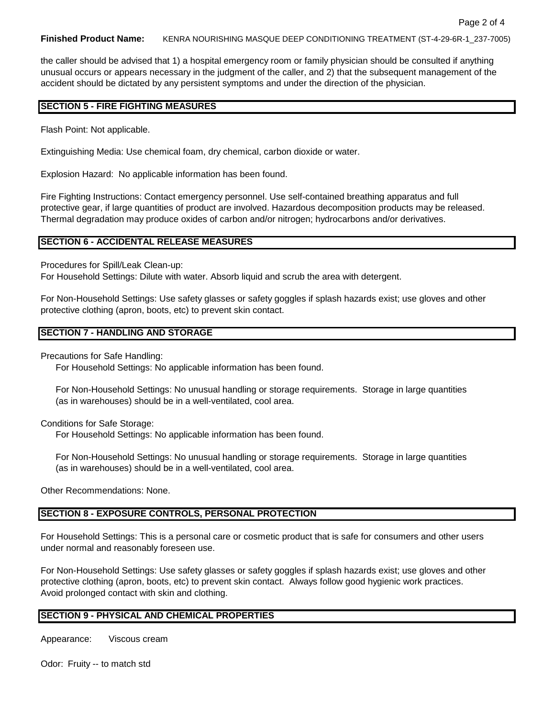#### **Finished Product Name:** KENRA NOURISHING MASQUE DEEP CONDITIONING TREATMENT (ST-4-29-6R-1\_237-7005)

the caller should be advised that 1) a hospital emergency room or family physician should be consulted if anything unusual occurs or appears necessary in the judgment of the caller, and 2) that the subsequent management of the accident should be dictated by any persistent symptoms and under the direction of the physician.

#### **SECTION 5 - FIRE FIGHTING MEASURES**

Flash Point: Not applicable.

Extinguishing Media: Use chemical foam, dry chemical, carbon dioxide or water.

Explosion Hazard: No applicable information has been found.

Fire Fighting Instructions: Contact emergency personnel. Use self-contained breathing apparatus and full protective gear, if large quantities of product are involved. Hazardous decomposition products may be released. Thermal degradation may produce oxides of carbon and/or nitrogen; hydrocarbons and/or derivatives.

#### **SECTION 6 - ACCIDENTAL RELEASE MEASURES**

Procedures for Spill/Leak Clean-up:

For Household Settings: Dilute with water. Absorb liquid and scrub the area with detergent.

For Non-Household Settings: Use safety glasses or safety goggles if splash hazards exist; use gloves and other protective clothing (apron, boots, etc) to prevent skin contact.

#### **SECTION 7 - HANDLING AND STORAGE**

Precautions for Safe Handling:

For Household Settings: No applicable information has been found.

For Non-Household Settings: No unusual handling or storage requirements. Storage in large quantities (as in warehouses) should be in a well-ventilated, cool area.

Conditions for Safe Storage:

For Household Settings: No applicable information has been found.

For Non-Household Settings: No unusual handling or storage requirements. Storage in large quantities (as in warehouses) should be in a well-ventilated, cool area.

Other Recommendations: None.

## **SECTION 8 - EXPOSURE CONTROLS, PERSONAL PROTECTION**

For Household Settings: This is a personal care or cosmetic product that is safe for consumers and other users under normal and reasonably foreseen use.

For Non-Household Settings: Use safety glasses or safety goggles if splash hazards exist; use gloves and other protective clothing (apron, boots, etc) to prevent skin contact. Always follow good hygienic work practices. Avoid prolonged contact with skin and clothing.

### **SECTION 9 - PHYSICAL AND CHEMICAL PROPERTIES**

Appearance: Viscous cream

Odor: Fruity -- to match std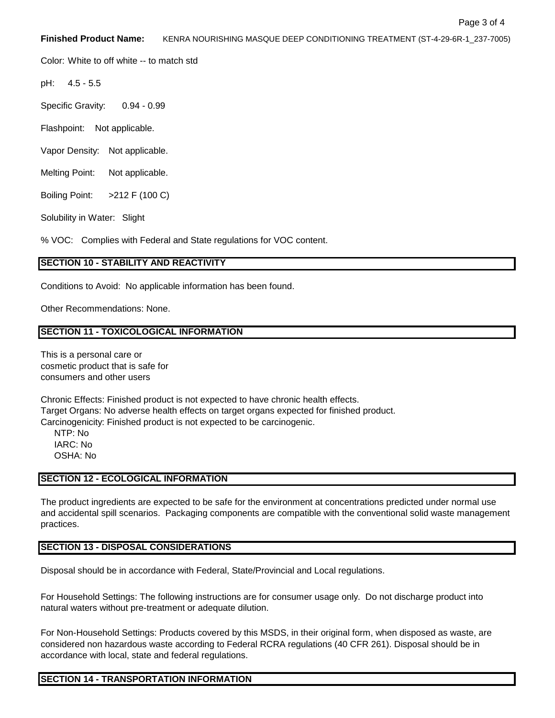**Finished Product Name:** KENRA NOURISHING MASQUE DEEP CONDITIONING TREATMENT (ST-4-29-6R-1\_237-7005)

Color: White to off white -- to match std

pH: 4.5 - 5.5

Specific Gravity: 0.94 - 0.99

Flashpoint: Not applicable.

Vapor Density: Not applicable.

Melting Point: Not applicable.

Boiling Point: >212 F (100 C)

Solubility in Water: Slight

% VOC: Complies with Federal and State regulations for VOC content.

## **SECTION 10 - STABILITY AND REACTIVITY**

Conditions to Avoid: No applicable information has been found.

Other Recommendations: None.

## **SECTION 11 - TOXICOLOGICAL INFORMATION**

This is a personal care or cosmetic product that is safe for consumers and other users

Chronic Effects: Finished product is not expected to have chronic health effects. Target Organs: No adverse health effects on target organs expected for finished product. Carcinogenicity: Finished product is not expected to be carcinogenic.

NTP: No IARC: No OSHA: No

### **SECTION 12 - ECOLOGICAL INFORMATION**

The product ingredients are expected to be safe for the environment at concentrations predicted under normal use and accidental spill scenarios. Packaging components are compatible with the conventional solid waste management practices.

## **SECTION 13 - DISPOSAL CONSIDERATIONS**

Disposal should be in accordance with Federal, State/Provincial and Local regulations.

For Household Settings: The following instructions are for consumer usage only. Do not discharge product into natural waters without pre-treatment or adequate dilution.

For Non-Household Settings: Products covered by this MSDS, in their original form, when disposed as waste, are considered non hazardous waste according to Federal RCRA regulations (40 CFR 261). Disposal should be in accordance with local, state and federal regulations.

## **SECTION 14 - TRANSPORTATION INFORMATION**